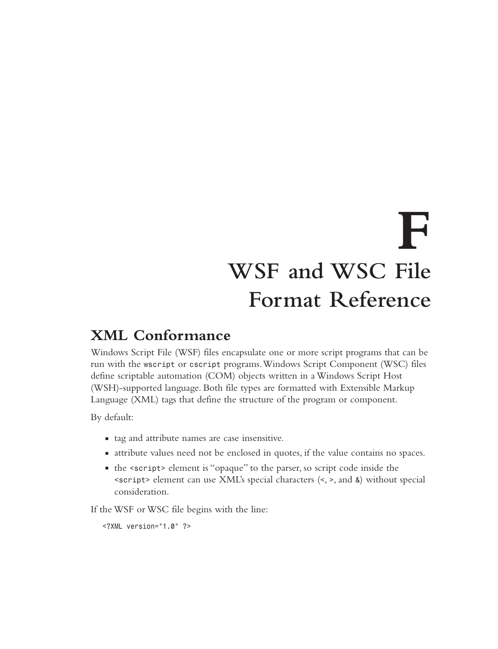# **F WSF and WSC File Format Reference**

## **XML Conformance**

Windows Script File (WSF) files encapsulate one or more script programs that can be run with the wscript or cscript programs.Windows Script Component (WSC) files define scriptable automation (COM) objects written in a Windows Script Host (WSH)-supported language. Both file types are formatted with Extensible Markup Language (XML) tags that define the structure of the program or component.

By default:

- <sup>n</sup> tag and attribute names are case insensitive.
- <sup>n</sup> attribute values need not be enclosed in quotes, if the value contains no spaces.
- <sup>n</sup> the <script> element is "opaque" to the parser, so script code inside the <script> element can use XML's special characters (<, >, and &) without special consideration.

If the WSF or WSC file begins with the line:

<?XML version="1.0" ?>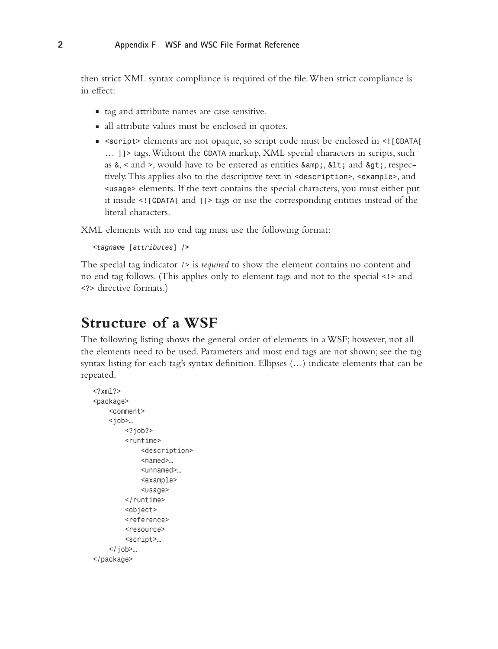then strict XML syntax compliance is required of the file.When strict compliance is in effect:

- <sup>n</sup> tag and attribute names are case sensitive.
- n all attribute values must be enclosed in quotes.
- <sup>n</sup> <script> elements are not opaque, so script code must be enclosed in <![CDATA[ ... 11> tags. Without the CDATA markup, XML special characters in scripts, such as  $\&$ , < and >, would have to be entered as entities  $\&$ ;  $\<$ ; and  $\>$ ; respectively.This applies also to the descriptive text in <description>, <example>, and <usage> elements. If the text contains the special characters, you must either put it inside <![CDATA[ and ]]> tags or use the corresponding entities instead of the literal characters.

XML elements with no end tag must use the following format:

```
<tagname [attributes] />
```
The special tag indicator /> is *required* to show the element contains no content and no end tag follows. (This applies only to element tags and not to the special <!> and <?> directive formats.)

## **Structure of a WSF**

The following listing shows the general order of elements in a WSF; however, not all the elements need to be used. Parameters and most end tags are not shown; see the tag syntax listing for each tag's syntax definition. Ellipses (…) indicate elements that can be repeated.

```
<?xm1?<package>
    <comment>
    <job>...
        <?iob?>
        <runtime>
             <description>
             <named>…
             <unnamed>…
             <example>
             <usage>
        \langle/runtime>
        <object>
        <reference>
        <resource>
        <script>…
    \langle/job>...
</package>
```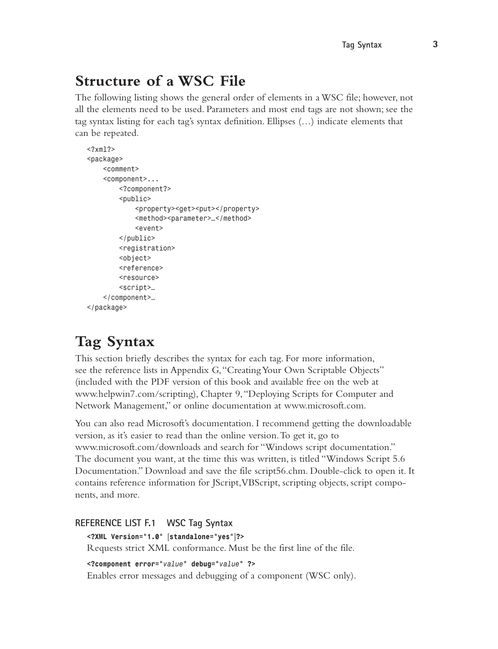## **Structure of a WSC File**

The following listing shows the general order of elements in a WSC file; however, not all the elements need to be used. Parameters and most end tags are not shown; see the tag syntax listing for each tag's syntax definition. Ellipses (…) indicate elements that can be repeated.

```
<?xm1?<package>
    <comment>
    <component>...
        <?component?>
        <sub>public></sub></sub>
             <property><get><put></property>
             <method><parameter>...</method>
             <event>
        </public><registration>
        <object>
        <reference>
        <resource>
        <script>…
    </component>…
</package>
```
# **Tag Syntax**

This section briefly describes the syntax for each tag. For more information, see the reference lists in Appendix G,"Creating Your Own Scriptable Objects" (included with the PDF version of this book and available free on the web at www.helpwin7.com/scripting), Chapter 9,"Deploying Scripts for Computer and Network Management," or online documentation at www.microsoft.com.

You can also read Microsoft's documentation. I recommend getting the downloadable version, as it's easier to read than the online version.To get it, go to www.microsoft.com/downloads and search for "Windows script documentation." The document you want, at the time this was written, is titled "Windows Script 5.6 Documentation." Download and save the file script56.chm. Double-click to open it. It contains reference information for JScript,VBScript, scripting objects, script components, and more.

```
REFERENCE LIST F.1 WSC Tag Syntax
   <?XML Version="1.0" [standalone="yes"]?>
  Requests strict XML conformance. Must be the first line of the file.
  <?component error="value" debug="value" ?>
```
Enables error messages and debugging of a component (WSC only).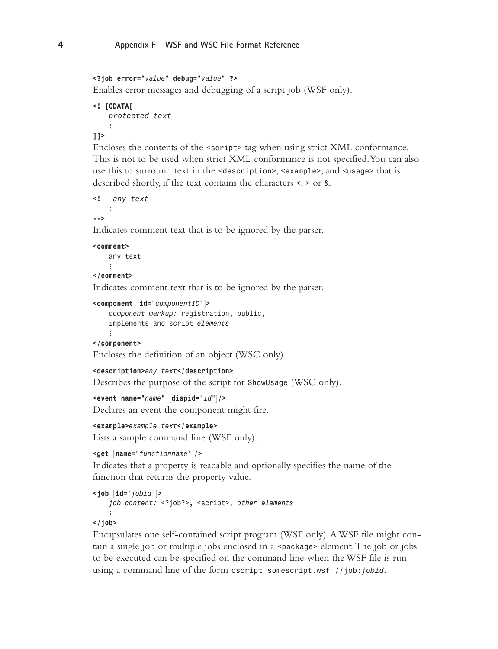```
<?job error="value" debug="value" ?>
```
Enables error messages and debugging of a script job (WSF only).

```
<! [CDATA[
   protected text
    :
```
**]]>**

Encloses the contents of the <script> tag when using strict XML conformance. This is not to be used when strict XML conformance is not specified.You can also use this to surround text in the <description>, <example>, and <usage> that is described shortly, if the text contains the characters <, > or &.

```
<!-- any text
   :
```
**-->**

Indicates comment text that is to be ignored by the parser.

```
<comment>
    any text
```
:

**</comment>**

Indicates comment text that is to be ignored by the parser.

```
<component [id="componentID"]>
```

```
component markup: registration, public,
implements and script elements
:
```
#### **</component>**

Encloses the definition of an object (WSC only).

```
<description>any text</description>
```
Describes the purpose of the script for ShowUsage (WSC only).

```
<event name="name" [dispid="id"]/>
```
Declares an event the component might fire.

```
<example>example text</example>
```
Lists a sample command line (WSF only).

```
<get [name="functionname"]/>
```
Indicates that a property is readable and optionally specifies the name of the function that returns the property value.

```
<job [id="jobid"]>
    job content: <?job?>, <script>, other elements
    :
```

```
</job>
```
Encapsulates one self-contained script program (WSF only).A WSF file might contain a single job or multiple jobs enclosed in a <package> element. The job or jobs to be executed can be specified on the command line when the WSF file is run using a command line of the form cscript somescript.wsf //job:*jobid*.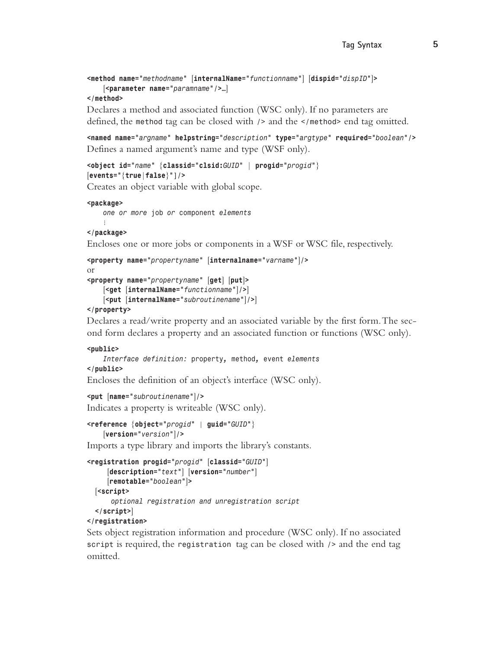```
<method name="methodname" [internalName="functionname"] [dispid="dispID"]>
    [<parameter name="paramname"/>…]
```
### **</method>**

Declares a method and associated function (WSC only). If no parameters are defined, the method tag can be closed with /> and the </method> end tag omitted.

**<named name="***argname***" helpstring="***description***" type="***argtype***" required="***boolean***"/>** Defines a named argument's name and type (WSF only).

```
<object id="name" {classid="clsid:GUID" | progid="progid"}
[events="{true|false}"]/>
```
Creates an object variable with global scope.

#### **<package>**

```
one or more job or component elements
:
```
### **</package>**

Encloses one or more jobs or components in a WSF or WSC file, respectively.

```
<property name="propertyname" [internalname="varname"]/>
or
<property name="propertyname" [get] [put]>
    [<get [internalName="functionname"]/>]
    [<put [internalName="subroutinename"]/>]
```
### **</property>**

Declares a read/write property and an associated variable by the first form.The second form declares a property and an associated function or functions (WSC only).

### **<public>**

```
Interface definition: property, method, event elements
</public>
```
Encloses the definition of an object's interface (WSC only).

```
<put [name="subroutinename"]/>
Indicates a property is writeable (WSC only).
```

```
<reference {object="progid" | guid="GUID"}
    [version="version"]/>
```
Imports a type library and imports the library's constants.

```
<registration progid="progid" [classid="GUID"]
     [description="text"] [version="number"]
     [remotable="boolean"]>
 [<script>
      optional registration and unregistration script
  </script>]
```
### **</registration>**

Sets object registration information and procedure (WSC only). If no associated script is required, the registration tag can be closed with /> and the end tag omitted.